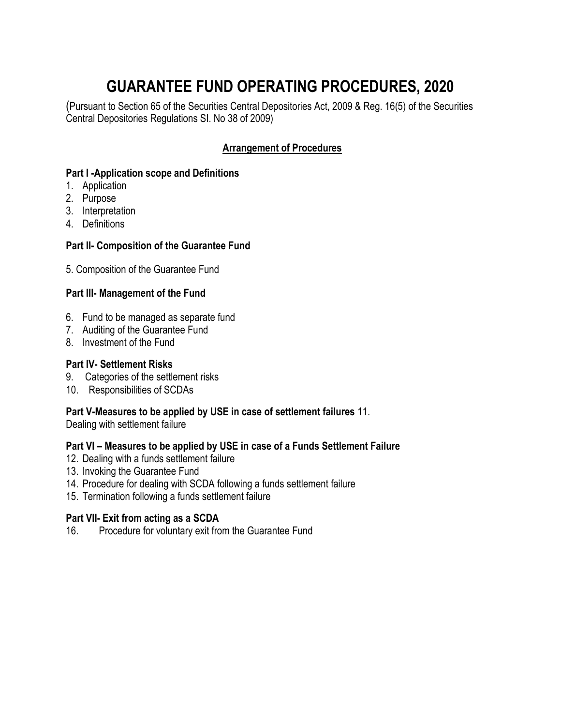# **GUARANTEE FUND OPERATING PROCEDURES, 2020**

(Pursuant to Section 65 of the Securities Central Depositories Act, 2009 & Reg. 16(5) of the Securities Central Depositories Regulations SI. No 38 of 2009)

# **Arrangement of Procedures**

#### **Part I -Application scope and Definitions**

- 1. Application
- 2. Purpose
- 3. Interpretation
- 4. Definitions

# **Part II- Composition of the Guarantee Fund**

5. Composition of the Guarantee Fund

# **Part III- Management of the Fund**

- 6. Fund to be managed as separate fund
- 7. Auditing of the Guarantee Fund
- 8. Investment of the Fund

# **Part IV- Settlement Risks**

- 9. Categories of the settlement risks
- 10. Responsibilities of SCDAs

# **Part V-Measures to be applied by USE in case of settlement failures** 11.

Dealing with settlement failure

#### **Part VI – Measures to be applied by USE in case of a Funds Settlement Failure**

- 12. Dealing with a funds settlement failure
- 13. Invoking the Guarantee Fund
- 14. Procedure for dealing with SCDA following a funds settlement failure
- 15. Termination following a funds settlement failure

# **Part VII- Exit from acting as a SCDA**

16. Procedure for voluntary exit from the Guarantee Fund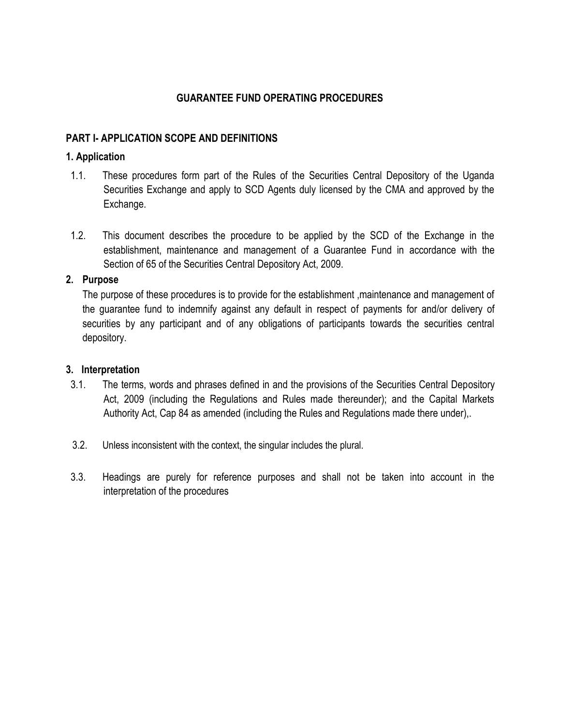# **GUARANTEE FUND OPERATING PROCEDURES**

#### **PART I- APPLICATION SCOPE AND DEFINITIONS**

#### **1. Application**

- 1.1. These procedures form part of the Rules of the Securities Central Depository of the Uganda Securities Exchange and apply to SCD Agents duly licensed by the CMA and approved by the Exchange.
- 1.2. This document describes the procedure to be applied by the SCD of the Exchange in the establishment, maintenance and management of a Guarantee Fund in accordance with the Section of 65 of the Securities Central Depository Act, 2009.

#### **2. Purpose**

The purpose of these procedures is to provide for the establishment ,maintenance and management of the guarantee fund to indemnify against any default in respect of payments for and/or delivery of securities by any participant and of any obligations of participants towards the securities central depository.

#### **3. Interpretation**

- 3.1. The terms, words and phrases defined in and the provisions of the Securities Central Depository Act, 2009 (including the Regulations and Rules made thereunder); and the Capital Markets Authority Act, Cap 84 as amended (including the Rules and Regulations made there under),.
- 3.2. Unless inconsistent with the context, the singular includes the plural.
- 3.3. Headings are purely for reference purposes and shall not be taken into account in the interpretation of the procedures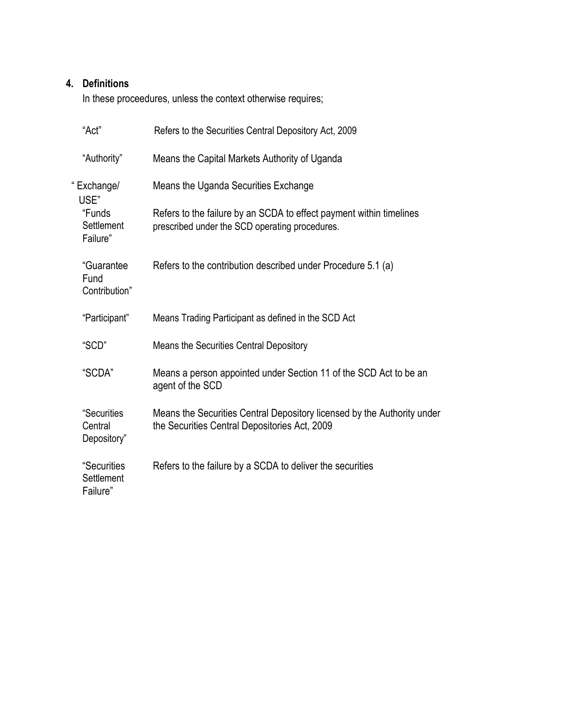# **4. Definitions**

In these proceedures, unless the context otherwise requires;

| "Act"                                 | Refers to the Securities Central Depository Act, 2009                                                                    |
|---------------------------------------|--------------------------------------------------------------------------------------------------------------------------|
| "Authority"                           | Means the Capital Markets Authority of Uganda                                                                            |
| " Exchange/<br>USE"                   | Means the Uganda Securities Exchange                                                                                     |
| "Funds<br>Settlement<br>Failure"      | Refers to the failure by an SCDA to effect payment within timelines<br>prescribed under the SCD operating procedures.    |
| "Guarantee<br>Fund<br>Contribution"   | Refers to the contribution described under Procedure 5.1 (a)                                                             |
| "Participant"                         | Means Trading Participant as defined in the SCD Act                                                                      |
| "SCD"                                 | <b>Means the Securities Central Depository</b>                                                                           |
| "SCDA"                                | Means a person appointed under Section 11 of the SCD Act to be an<br>agent of the SCD                                    |
| "Securities<br>Central<br>Depository" | Means the Securities Central Depository licensed by the Authority under<br>the Securities Central Depositories Act, 2009 |
| "Securities<br>Settlement<br>Failure" | Refers to the failure by a SCDA to deliver the securities                                                                |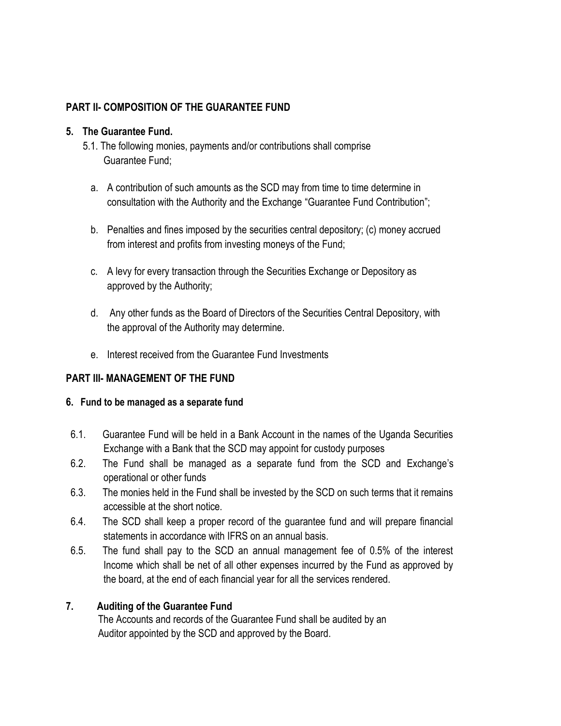# **PART II- COMPOSITION OF THE GUARANTEE FUND**

#### **5. The Guarantee Fund.**

- 5.1. The following monies, payments and/or contributions shall comprise Guarantee Fund;
	- a. A contribution of such amounts as the SCD may from time to time determine in consultation with the Authority and the Exchange "Guarantee Fund Contribution";
	- b. Penalties and fines imposed by the securities central depository; (c) money accrued from interest and profits from investing moneys of the Fund;
	- c. A levy for every transaction through the Securities Exchange or Depository as approved by the Authority;
	- d. Any other funds as the Board of Directors of the Securities Central Depository, with the approval of the Authority may determine.
	- e. Interest received from the Guarantee Fund Investments

# **PART III- MANAGEMENT OF THE FUND**

#### **6. Fund to be managed as a separate fund**

- 6.1. Guarantee Fund will be held in a Bank Account in the names of the Uganda Securities Exchange with a Bank that the SCD may appoint for custody purposes
- 6.2. The Fund shall be managed as a separate fund from the SCD and Exchange's operational or other funds
- 6.3. The monies held in the Fund shall be invested by the SCD on such terms that it remains accessible at the short notice.
- 6.4. The SCD shall keep a proper record of the guarantee fund and will prepare financial statements in accordance with IFRS on an annual basis.
- 6.5. The fund shall pay to the SCD an annual management fee of 0.5% of the interest Income which shall be net of all other expenses incurred by the Fund as approved by the board, at the end of each financial year for all the services rendered.

#### **7. Auditing of the Guarantee Fund**

The Accounts and records of the Guarantee Fund shall be audited by an Auditor appointed by the SCD and approved by the Board.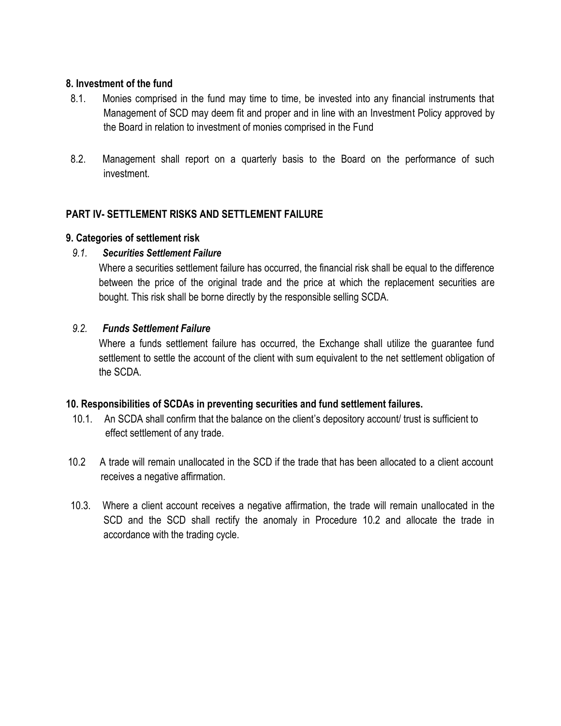#### **8. Investment of the fund**

- 8.1. Monies comprised in the fund may time to time, be invested into any financial instruments that Management of SCD may deem fit and proper and in line with an Investment Policy approved by the Board in relation to investment of monies comprised in the Fund
- 8.2. Management shall report on a quarterly basis to the Board on the performance of such investment.

# **PART IV- SETTLEMENT RISKS AND SETTLEMENT FAILURE**

#### **9. Categories of settlement risk**

#### *9.1. Securities Settlement Failure*

Where a securities settlement failure has occurred, the financial risk shall be equal to the difference between the price of the original trade and the price at which the replacement securities are bought. This risk shall be borne directly by the responsible selling SCDA.

#### *9.2. Funds Settlement Failure*

Where a funds settlement failure has occurred, the Exchange shall utilize the guarantee fund settlement to settle the account of the client with sum equivalent to the net settlement obligation of the SCDA.

#### **10. Responsibilities of SCDAs in preventing securities and fund settlement failures.**

- 10.1. An SCDA shall confirm that the balance on the client's depository account/ trust is sufficient to effect settlement of any trade.
- 10.2 A trade will remain unallocated in the SCD if the trade that has been allocated to a client account receives a negative affirmation.
- 10.3. Where a client account receives a negative affirmation, the trade will remain unallocated in the SCD and the SCD shall rectify the anomaly in Procedure 10.2 and allocate the trade in accordance with the trading cycle.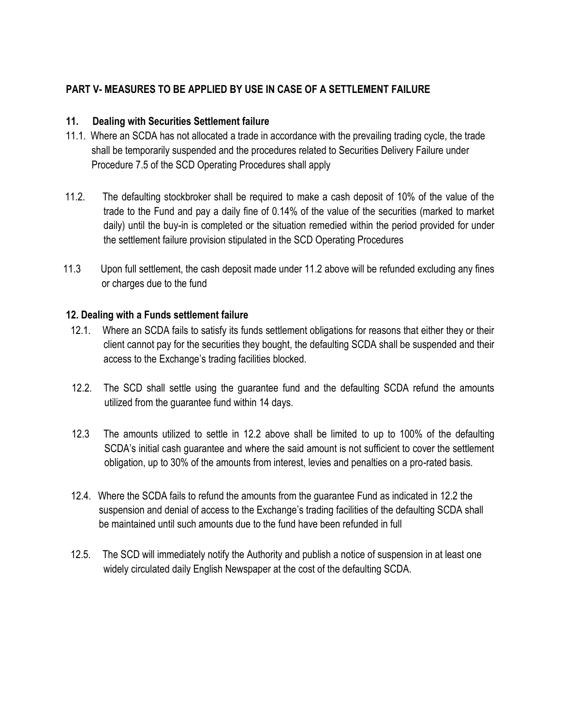# **PART V- MEASURES TO BE APPLIED BY USE IN CASE OF A SETTLEMENT FAILURE**

# **11. Dealing with Securities Settlement failure**

- 11.1. Where an SCDA has not allocated a trade in accordance with the prevailing trading cycle, the trade shall be temporarily suspended and the procedures related to Securities Delivery Failure under Procedure 7.5 of the SCD Operating Procedures shall apply
- 11.2. The defaulting stockbroker shall be required to make a cash deposit of 10% of the value of the trade to the Fund and pay a daily fine of 0.14% of the value of the securities (marked to market daily) until the buy-in is completed or the situation remedied within the period provided for under the settlement failure provision stipulated in the SCD Operating Procedures
- 11.3 Upon full settlement, the cash deposit made under 11.2 above will be refunded excluding any fines or charges due to the fund

# **12. Dealing with a Funds settlement failure**

- 12.1. Where an SCDA fails to satisfy its funds settlement obligations for reasons that either they or their client cannot pay for the securities they bought, the defaulting SCDA shall be suspended and their access to the Exchange's trading facilities blocked.
- 12.2. The SCD shall settle using the guarantee fund and the defaulting SCDA refund the amounts utilized from the guarantee fund within 14 days.
- 12.3 The amounts utilized to settle in 12.2 above shall be limited to up to 100% of the defaulting SCDA's initial cash guarantee and where the said amount is not sufficient to cover the settlement obligation, up to 30% of the amounts from interest, levies and penalties on a pro-rated basis.
- 12.4. Where the SCDA fails to refund the amounts from the guarantee Fund as indicated in 12.2 the suspension and denial of access to the Exchange's trading facilities of the defaulting SCDA shall be maintained until such amounts due to the fund have been refunded in full
- 12.5. The SCD will immediately notify the Authority and publish a notice of suspension in at least one widely circulated daily English Newspaper at the cost of the defaulting SCDA.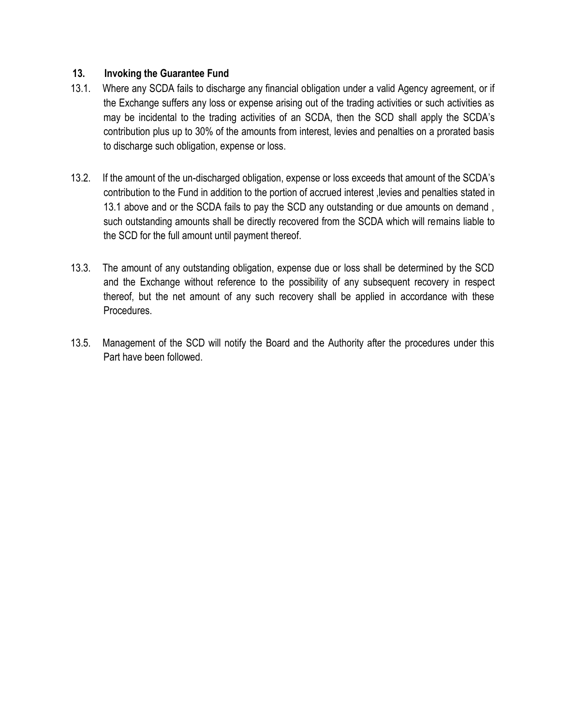#### **13. Invoking the Guarantee Fund**

- 13.1. Where any SCDA fails to discharge any financial obligation under a valid Agency agreement, or if the Exchange suffers any loss or expense arising out of the trading activities or such activities as may be incidental to the trading activities of an SCDA, then the SCD shall apply the SCDA's contribution plus up to 30% of the amounts from interest, levies and penalties on a prorated basis to discharge such obligation, expense or loss.
- 13.2. If the amount of the un-discharged obligation, expense or loss exceeds that amount of the SCDA's contribution to the Fund in addition to the portion of accrued interest ,levies and penalties stated in 13.1 above and or the SCDA fails to pay the SCD any outstanding or due amounts on demand , such outstanding amounts shall be directly recovered from the SCDA which will remains liable to the SCD for the full amount until payment thereof.
- 13.3. The amount of any outstanding obligation, expense due or loss shall be determined by the SCD and the Exchange without reference to the possibility of any subsequent recovery in respect thereof, but the net amount of any such recovery shall be applied in accordance with these Procedures.
- 13.5. Management of the SCD will notify the Board and the Authority after the procedures under this Part have been followed.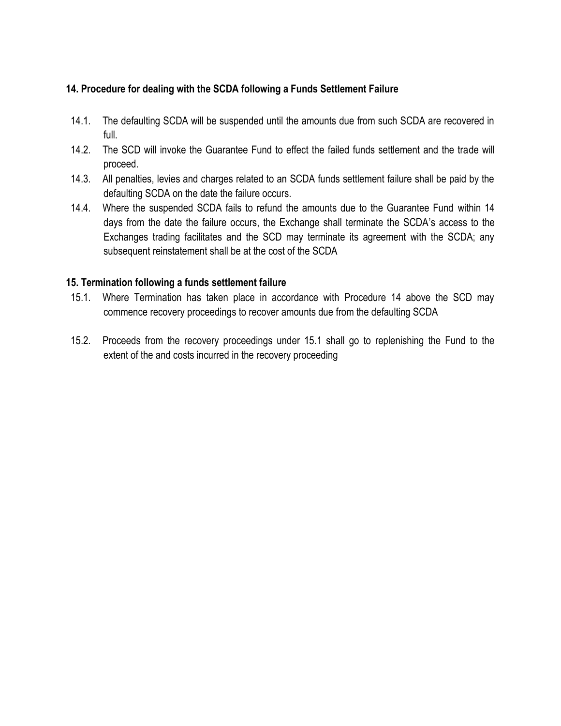# **14. Procedure for dealing with the SCDA following a Funds Settlement Failure**

- 14.1. The defaulting SCDA will be suspended until the amounts due from such SCDA are recovered in full.
- 14.2. The SCD will invoke the Guarantee Fund to effect the failed funds settlement and the trade will proceed.
- 14.3. All penalties, levies and charges related to an SCDA funds settlement failure shall be paid by the defaulting SCDA on the date the failure occurs.
- 14.4. Where the suspended SCDA fails to refund the amounts due to the Guarantee Fund within 14 days from the date the failure occurs, the Exchange shall terminate the SCDA's access to the Exchanges trading facilitates and the SCD may terminate its agreement with the SCDA; any subsequent reinstatement shall be at the cost of the SCDA

#### **15. Termination following a funds settlement failure**

- 15.1. Where Termination has taken place in accordance with Procedure 14 above the SCD may commence recovery proceedings to recover amounts due from the defaulting SCDA
- 15.2. Proceeds from the recovery proceedings under 15.1 shall go to replenishing the Fund to the extent of the and costs incurred in the recovery proceeding